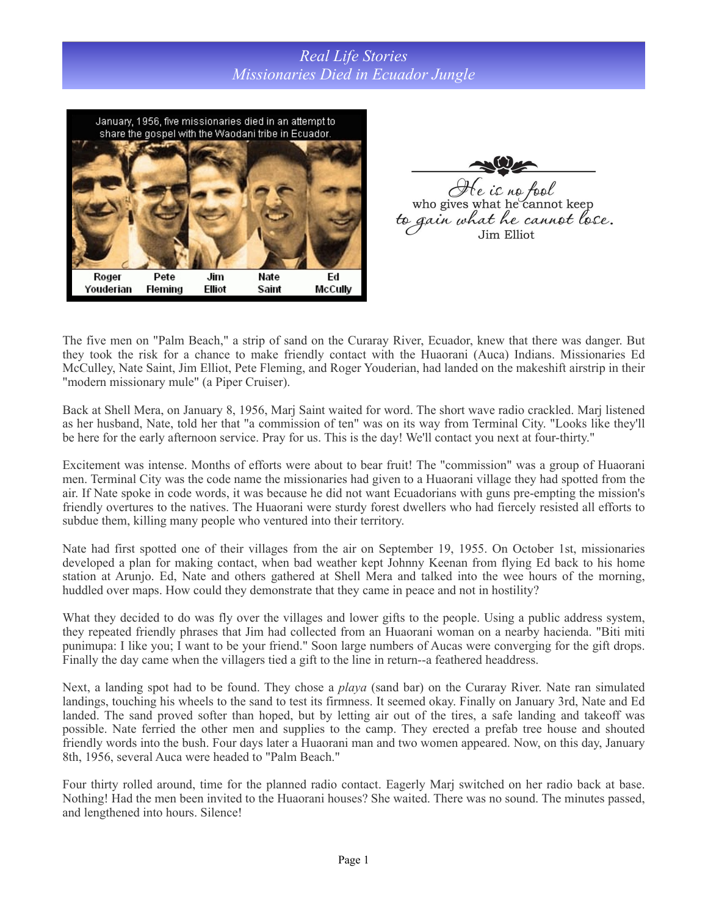## *Real Life Stories Missionaries Died in Ecuador Jungle*



 $\mathcal{A}$ e ic no fool<br>who gives what he cannot keep to gain what he cannot lose.

The five men on "Palm Beach," a strip of sand on the Curaray River, Ecuador, knew that there was danger. But they took the risk for a chance to make friendly contact with the Huaorani (Auca) Indians. Missionaries Ed McCulley, Nate Saint, Jim Elliot, Pete Fleming, and Roger Youderian, had landed on the makeshift airstrip in their "modern missionary mule" (a Piper Cruiser).

Back at Shell Mera, on January 8, 1956, Marj Saint waited for word. The short wave radio crackled. Marj listened as her husband, Nate, told her that "a commission of ten" was on its way from Terminal City. "Looks like they'll be here for the early afternoon service. Pray for us. This is the day! We'll contact you next at four-thirty."

Excitement was intense. Months of efforts were about to bear fruit! The "commission" was a group of Huaorani men. Terminal City was the code name the missionaries had given to a Huaorani village they had spotted from the air. If Nate spoke in code words, it was because he did not want Ecuadorians with guns pre-empting the mission's friendly overtures to the natives. The Huaorani were sturdy forest dwellers who had fiercely resisted all efforts to subdue them, killing many people who ventured into their territory.

Nate had first spotted one of their villages from the air on September 19, 1955. On October 1st, missionaries developed a plan for making contact, when bad weather kept Johnny Keenan from flying Ed back to his home station at Arunjo. Ed, Nate and others gathered at Shell Mera and talked into the wee hours of the morning, huddled over maps. How could they demonstrate that they came in peace and not in hostility?

What they decided to do was fly over the villages and lower gifts to the people. Using a public address system, they repeated friendly phrases that Jim had collected from an Huaorani woman on a nearby hacienda. "Biti miti punimupa: I like you; I want to be your friend." Soon large numbers of Aucas were converging for the gift drops. Finally the day came when the villagers tied a gift to the line in return--a feathered headdress.

Next, a landing spot had to be found. They chose a *playa* (sand bar) on the Curaray River. Nate ran simulated landings, touching his wheels to the sand to test its firmness. It seemed okay. Finally on January 3rd, Nate and Ed landed. The sand proved softer than hoped, but by letting air out of the tires, a safe landing and takeoff was possible. Nate ferried the other men and supplies to the camp. They erected a prefab tree house and shouted friendly words into the bush. Four days later a Huaorani man and two women appeared. Now, on this day, January 8th, 1956, several Auca were headed to "Palm Beach."

Four thirty rolled around, time for the planned radio contact. Eagerly Marj switched on her radio back at base. Nothing! Had the men been invited to the Huaorani houses? She waited. There was no sound. The minutes passed, and lengthened into hours. Silence!